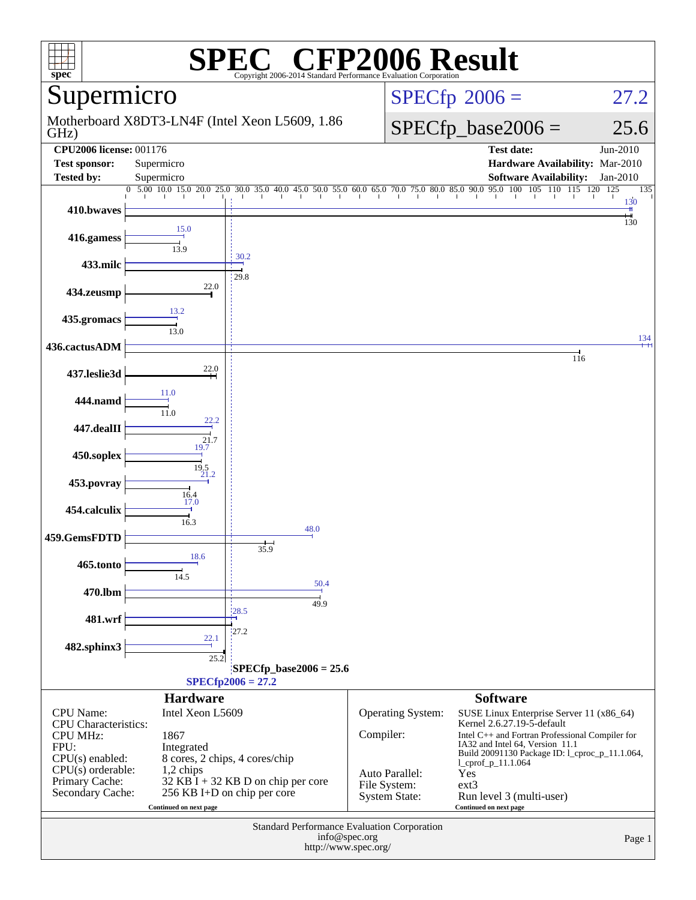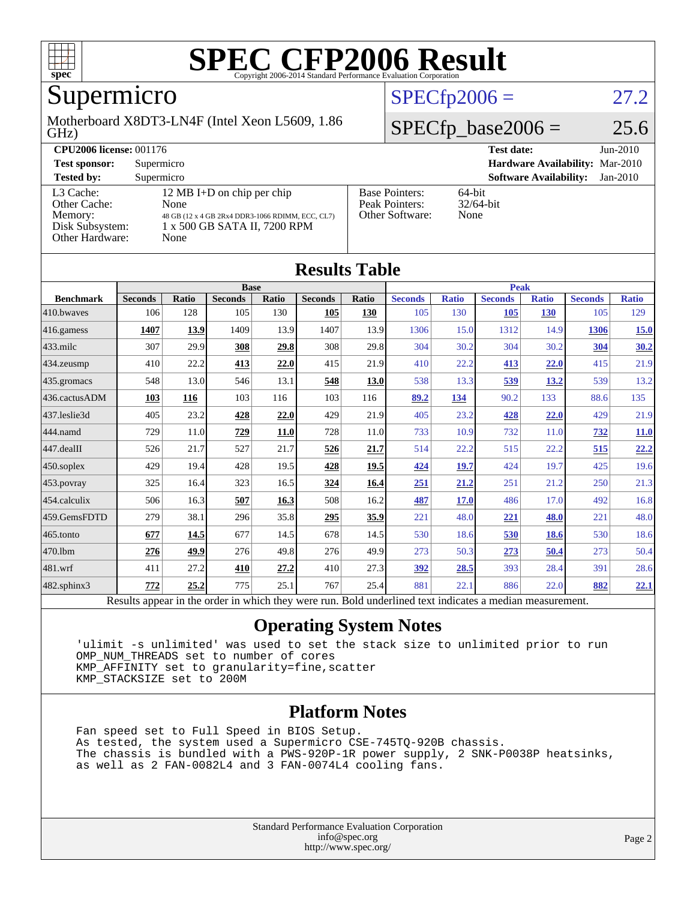

### Supermicro

#### GHz) Motherboard X8DT3-LN4F (Intel Xeon L5609, 1.86

### $SPECfp2006 = 27.2$  $SPECfp2006 = 27.2$

### $SPECfp\_base2006 = 25.6$

| <b>CPU2006 license: 001176</b>                                             |                                                                                                                                | <b>Test date:</b><br>$Jun-2010$                            |                                   |  |  |
|----------------------------------------------------------------------------|--------------------------------------------------------------------------------------------------------------------------------|------------------------------------------------------------|-----------------------------------|--|--|
| <b>Test sponsor:</b>                                                       | Supermicro                                                                                                                     | Hardware Availability: Mar-2010                            |                                   |  |  |
| <b>Tested by:</b>                                                          | Supermicro                                                                                                                     | <b>Software Availability:</b><br>$Jan-2010$                |                                   |  |  |
| L3 Cache:<br>Other Cache:<br>Memory:<br>Disk Subsystem:<br>Other Hardware: | 12 MB I+D on chip per chip<br>None<br>48 GB (12 x 4 GB 2Rx4 DDR3-1066 RDIMM, ECC, CL7)<br>1 x 500 GB SATA II, 7200 RPM<br>None | <b>Base Pointers:</b><br>Peak Pointers:<br>Other Software: | $64$ -bit<br>$32/64$ -bit<br>None |  |  |

**[Results Table](http://www.spec.org/auto/cpu2006/Docs/result-fields.html#ResultsTable)**

| Results Table          |                                                                                                          |              |                |       |                |       |                |              |                |              |                |              |
|------------------------|----------------------------------------------------------------------------------------------------------|--------------|----------------|-------|----------------|-------|----------------|--------------|----------------|--------------|----------------|--------------|
|                        |                                                                                                          | <b>Base</b>  |                |       |                |       | <b>Peak</b>    |              |                |              |                |              |
| <b>Benchmark</b>       | <b>Seconds</b>                                                                                           | <b>Ratio</b> | <b>Seconds</b> | Ratio | <b>Seconds</b> | Ratio | <b>Seconds</b> | <b>Ratio</b> | <b>Seconds</b> | <b>Ratio</b> | <b>Seconds</b> | <b>Ratio</b> |
| 410.bwaves             | 106                                                                                                      | 128          | 105            | 130   | 105            | 130   | 105            | 130          | 105            | <b>130</b>   | 105            | 129          |
| 416.gamess             | 1407                                                                                                     | 13.9         | 1409           | 13.9  | 1407           | 13.9  | 1306           | 15.0         | 1312           | 14.9         | 1306           | 15.0         |
| $433$ .milc            | 307                                                                                                      | 29.9         | 308            | 29.8  | 308            | 29.8  | 304            | 30.2         | 304            | 30.2         | 304            | 30.2         |
| 434.zeusmp             | 410                                                                                                      | 22.2         | 413            | 22.0  | 415            | 21.9  | 410            | 22.2         | 413            | 22.0         | 415            | 21.9         |
| 435.gromacs            | 548                                                                                                      | 13.0         | 546            | 13.1  | 548            | 13.0  | 538            | 13.3         | 539            | <u>13.2</u>  | 539            | 13.2         |
| 436.cactusADM          | 103                                                                                                      | 116          | 103            | 116   | 103            | 116   | 89.2           | 134          | 90.2           | 133          | 88.6           | 135          |
| 437.leslie3d           | 405                                                                                                      | 23.2         | 428            | 22.0  | 429            | 21.9  | 405            | 23.2         | 428            | 22.0         | 429            | 21.9         |
| 444.namd               | 729                                                                                                      | 11.0         | 729            | 11.0  | 728            | 11.0  | 733            | 10.9         | 732            | 11.0         | 732            | <b>11.0</b>  |
| $ 447 \text{.}$ dealII | 526                                                                                                      | 21.7         | 527            | 21.7  | 526            | 21.7  | 514            | 22.2         | 515            | 22.2         | 515            | 22.2         |
| $450$ .soplex          | 429                                                                                                      | 19.4         | 428            | 19.5  | 428            | 19.5  | 424            | 19.7         | 424            | 19.7         | 425            | 19.6         |
| 453.povray             | 325                                                                                                      | 16.4         | 323            | 16.5  | 324            | 16.4  | 251            | 21.2         | 251            | 21.2         | 250            | 21.3         |
| $ 454$ .calculix       | 506                                                                                                      | 16.3         | 507            | 16.3  | 508            | 16.2  | 487            | 17.0         | 486            | 17.0         | 492            | 16.8         |
| 459.GemsFDTD           | 279                                                                                                      | 38.1         | 296            | 35.8  | 295            | 35.9  | 221            | 48.0         | 221            | 48.0         | 221            | 48.0         |
| $465$ .tonto           | 677                                                                                                      | 14.5         | 677            | 14.5  | 678            | 14.5  | 530            | 18.6         | 530            | 18.6         | 530            | 18.6         |
| 470.1bm                | 276                                                                                                      | 49.9         | 276            | 49.8  | 276            | 49.9  | 273            | 50.3         | 273            | 50.4         | 273            | 50.4         |
| 481.wrf                | 411                                                                                                      | 27.2         | 410            | 27.2  | 410            | 27.3  | <u>392</u>     | 28.5         | 393            | 28.4         | 391            | 28.6         |
| 482.sphinx3            | 772                                                                                                      | 25.2         | 775            | 25.1  | 767            | 25.4  | 881            | 22.1         | 886            | 22.0         | 882            | 22.1         |
|                        | Results appear in the order in which they were run. Bold underlined text indicates a median measurement. |              |                |       |                |       |                |              |                |              |                |              |

#### **[Operating System Notes](http://www.spec.org/auto/cpu2006/Docs/result-fields.html#OperatingSystemNotes)**

 'ulimit -s unlimited' was used to set the stack size to unlimited prior to run OMP\_NUM\_THREADS set to number of cores KMP\_AFFINITY set to granularity=fine,scatter KMP\_STACKSIZE set to 200M

#### **[Platform Notes](http://www.spec.org/auto/cpu2006/Docs/result-fields.html#PlatformNotes)**

 Fan speed set to Full Speed in BIOS Setup. As tested, the system used a Supermicro CSE-745TQ-920B chassis. The chassis is bundled with a PWS-920P-1R power supply, 2 SNK-P0038P heatsinks, as well as 2 FAN-0082L4 and 3 FAN-0074L4 cooling fans.

> Standard Performance Evaluation Corporation [info@spec.org](mailto:info@spec.org) <http://www.spec.org/>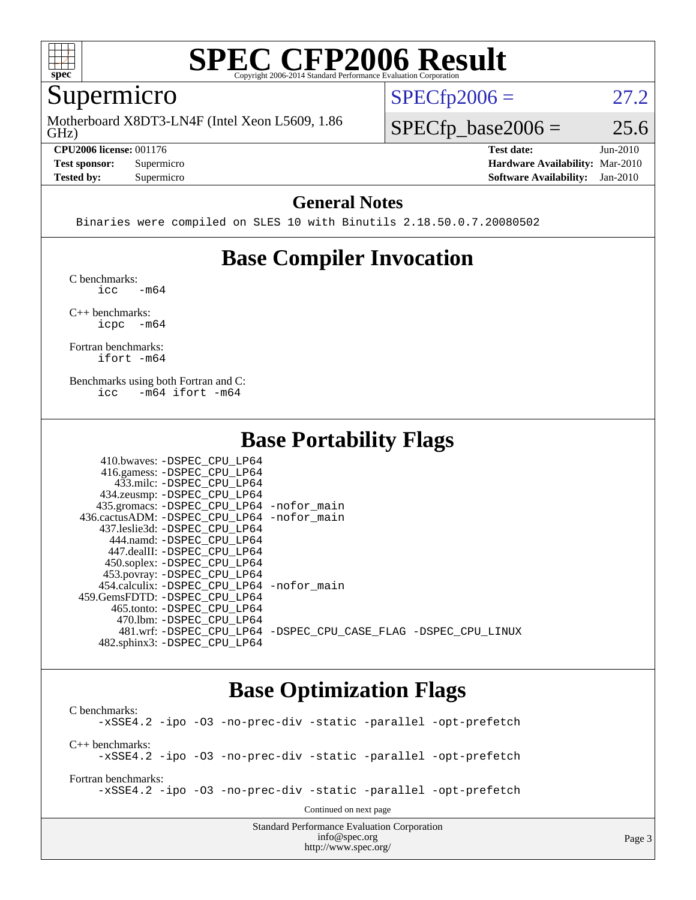

### Supermicro

GHz) Motherboard X8DT3-LN4F (Intel Xeon L5609, 1.86

**[CPU2006 license:](http://www.spec.org/auto/cpu2006/Docs/result-fields.html#CPU2006license)** 001176 **[Test date:](http://www.spec.org/auto/cpu2006/Docs/result-fields.html#Testdate)** Jun-2010

**[Tested by:](http://www.spec.org/auto/cpu2006/Docs/result-fields.html#Testedby)** Supermicro **[Software Availability:](http://www.spec.org/auto/cpu2006/Docs/result-fields.html#SoftwareAvailability)** Jan-2010

 $SPECTp2006 = 27.2$ 

 $SPECTp\_base2006 = 25.6$ 

**[Test sponsor:](http://www.spec.org/auto/cpu2006/Docs/result-fields.html#Testsponsor)** Supermicro **[Hardware Availability:](http://www.spec.org/auto/cpu2006/Docs/result-fields.html#HardwareAvailability)** Mar-2010

#### **[General Notes](http://www.spec.org/auto/cpu2006/Docs/result-fields.html#GeneralNotes)**

Binaries were compiled on SLES 10 with Binutils 2.18.50.0.7.20080502

### **[Base Compiler Invocation](http://www.spec.org/auto/cpu2006/Docs/result-fields.html#BaseCompilerInvocation)**

[C benchmarks](http://www.spec.org/auto/cpu2006/Docs/result-fields.html#Cbenchmarks):  $\text{icc}$   $-\text{m64}$ 

[C++ benchmarks:](http://www.spec.org/auto/cpu2006/Docs/result-fields.html#CXXbenchmarks) [icpc -m64](http://www.spec.org/cpu2006/results/res2010q3/cpu2006-20100621-11966.flags.html#user_CXXbase_intel_icpc_64bit_bedb90c1146cab66620883ef4f41a67e)

[Fortran benchmarks](http://www.spec.org/auto/cpu2006/Docs/result-fields.html#Fortranbenchmarks): [ifort -m64](http://www.spec.org/cpu2006/results/res2010q3/cpu2006-20100621-11966.flags.html#user_FCbase_intel_ifort_64bit_ee9d0fb25645d0210d97eb0527dcc06e)

[Benchmarks using both Fortran and C](http://www.spec.org/auto/cpu2006/Docs/result-fields.html#BenchmarksusingbothFortranandC): [icc -m64](http://www.spec.org/cpu2006/results/res2010q3/cpu2006-20100621-11966.flags.html#user_CC_FCbase_intel_icc_64bit_0b7121f5ab7cfabee23d88897260401c) [ifort -m64](http://www.spec.org/cpu2006/results/res2010q3/cpu2006-20100621-11966.flags.html#user_CC_FCbase_intel_ifort_64bit_ee9d0fb25645d0210d97eb0527dcc06e)

### **[Base Portability Flags](http://www.spec.org/auto/cpu2006/Docs/result-fields.html#BasePortabilityFlags)**

| 410.bwaves: -DSPEC CPU LP64                |                                                                |
|--------------------------------------------|----------------------------------------------------------------|
| 416.gamess: -DSPEC_CPU_LP64                |                                                                |
| 433.milc: -DSPEC CPU LP64                  |                                                                |
| 434.zeusmp: -DSPEC_CPU_LP64                |                                                                |
| 435.gromacs: -DSPEC_CPU_LP64 -nofor_main   |                                                                |
| 436.cactusADM: -DSPEC_CPU_LP64 -nofor main |                                                                |
| 437.leslie3d: -DSPEC CPU LP64              |                                                                |
| 444.namd: -DSPEC CPU LP64                  |                                                                |
| 447.dealII: -DSPEC CPU LP64                |                                                                |
| 450.soplex: -DSPEC_CPU_LP64                |                                                                |
| 453.povray: -DSPEC_CPU_LP64                |                                                                |
| 454.calculix: -DSPEC CPU LP64 -nofor main  |                                                                |
| 459. GemsFDTD: - DSPEC CPU LP64            |                                                                |
| 465.tonto: - DSPEC CPU LP64                |                                                                |
| 470.1bm: - DSPEC CPU LP64                  |                                                                |
|                                            | 481.wrf: -DSPEC CPU_LP64 -DSPEC_CPU_CASE_FLAG -DSPEC_CPU_LINUX |
| 482.sphinx3: -DSPEC CPU LP64               |                                                                |

### **[Base Optimization Flags](http://www.spec.org/auto/cpu2006/Docs/result-fields.html#BaseOptimizationFlags)**

Standard Performance Evaluation Corporation [C benchmarks](http://www.spec.org/auto/cpu2006/Docs/result-fields.html#Cbenchmarks): [-xSSE4.2](http://www.spec.org/cpu2006/results/res2010q3/cpu2006-20100621-11966.flags.html#user_CCbase_f-xSSE42_f91528193cf0b216347adb8b939d4107) [-ipo](http://www.spec.org/cpu2006/results/res2010q3/cpu2006-20100621-11966.flags.html#user_CCbase_f-ipo) [-O3](http://www.spec.org/cpu2006/results/res2010q3/cpu2006-20100621-11966.flags.html#user_CCbase_f-O3) [-no-prec-div](http://www.spec.org/cpu2006/results/res2010q3/cpu2006-20100621-11966.flags.html#user_CCbase_f-no-prec-div) [-static](http://www.spec.org/cpu2006/results/res2010q3/cpu2006-20100621-11966.flags.html#user_CCbase_f-static) [-parallel](http://www.spec.org/cpu2006/results/res2010q3/cpu2006-20100621-11966.flags.html#user_CCbase_f-parallel) [-opt-prefetch](http://www.spec.org/cpu2006/results/res2010q3/cpu2006-20100621-11966.flags.html#user_CCbase_f-opt-prefetch) [C++ benchmarks:](http://www.spec.org/auto/cpu2006/Docs/result-fields.html#CXXbenchmarks) [-xSSE4.2](http://www.spec.org/cpu2006/results/res2010q3/cpu2006-20100621-11966.flags.html#user_CXXbase_f-xSSE42_f91528193cf0b216347adb8b939d4107) [-ipo](http://www.spec.org/cpu2006/results/res2010q3/cpu2006-20100621-11966.flags.html#user_CXXbase_f-ipo) [-O3](http://www.spec.org/cpu2006/results/res2010q3/cpu2006-20100621-11966.flags.html#user_CXXbase_f-O3) [-no-prec-div](http://www.spec.org/cpu2006/results/res2010q3/cpu2006-20100621-11966.flags.html#user_CXXbase_f-no-prec-div) [-static](http://www.spec.org/cpu2006/results/res2010q3/cpu2006-20100621-11966.flags.html#user_CXXbase_f-static) [-parallel](http://www.spec.org/cpu2006/results/res2010q3/cpu2006-20100621-11966.flags.html#user_CXXbase_f-parallel) [-opt-prefetch](http://www.spec.org/cpu2006/results/res2010q3/cpu2006-20100621-11966.flags.html#user_CXXbase_f-opt-prefetch) [Fortran benchmarks](http://www.spec.org/auto/cpu2006/Docs/result-fields.html#Fortranbenchmarks): [-xSSE4.2](http://www.spec.org/cpu2006/results/res2010q3/cpu2006-20100621-11966.flags.html#user_FCbase_f-xSSE42_f91528193cf0b216347adb8b939d4107) [-ipo](http://www.spec.org/cpu2006/results/res2010q3/cpu2006-20100621-11966.flags.html#user_FCbase_f-ipo) [-O3](http://www.spec.org/cpu2006/results/res2010q3/cpu2006-20100621-11966.flags.html#user_FCbase_f-O3) [-no-prec-div](http://www.spec.org/cpu2006/results/res2010q3/cpu2006-20100621-11966.flags.html#user_FCbase_f-no-prec-div) [-static](http://www.spec.org/cpu2006/results/res2010q3/cpu2006-20100621-11966.flags.html#user_FCbase_f-static) [-parallel](http://www.spec.org/cpu2006/results/res2010q3/cpu2006-20100621-11966.flags.html#user_FCbase_f-parallel) [-opt-prefetch](http://www.spec.org/cpu2006/results/res2010q3/cpu2006-20100621-11966.flags.html#user_FCbase_f-opt-prefetch) Continued on next page

[info@spec.org](mailto:info@spec.org) <http://www.spec.org/>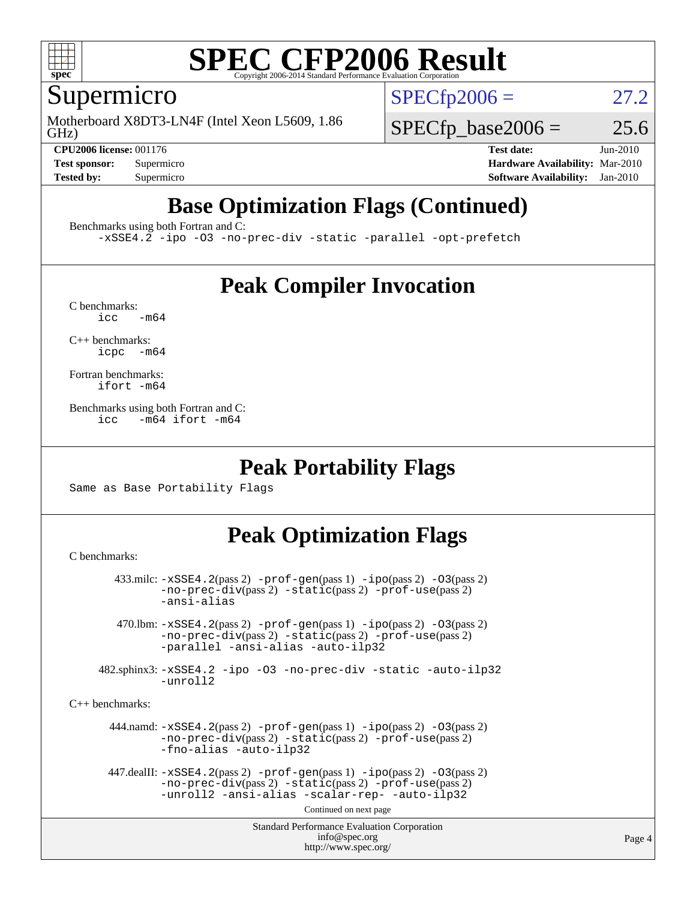

### Supermicro

GHz) Motherboard X8DT3-LN4F (Intel Xeon L5609, 1.86  $SPECTp2006 = 27.2$ 

 $SPECTp\_base2006 = 25.6$ 

**[CPU2006 license:](http://www.spec.org/auto/cpu2006/Docs/result-fields.html#CPU2006license)** 001176 **[Test date:](http://www.spec.org/auto/cpu2006/Docs/result-fields.html#Testdate)** Jun-2010 **[Test sponsor:](http://www.spec.org/auto/cpu2006/Docs/result-fields.html#Testsponsor)** Supermicro **[Hardware Availability:](http://www.spec.org/auto/cpu2006/Docs/result-fields.html#HardwareAvailability)** Mar-2010 **[Tested by:](http://www.spec.org/auto/cpu2006/Docs/result-fields.html#Testedby)** Supermicro **[Software Availability:](http://www.spec.org/auto/cpu2006/Docs/result-fields.html#SoftwareAvailability)** Jan-2010

### **[Base Optimization Flags \(Continued\)](http://www.spec.org/auto/cpu2006/Docs/result-fields.html#BaseOptimizationFlags)**

[Benchmarks using both Fortran and C](http://www.spec.org/auto/cpu2006/Docs/result-fields.html#BenchmarksusingbothFortranandC):

[-xSSE4.2](http://www.spec.org/cpu2006/results/res2010q3/cpu2006-20100621-11966.flags.html#user_CC_FCbase_f-xSSE42_f91528193cf0b216347adb8b939d4107) [-ipo](http://www.spec.org/cpu2006/results/res2010q3/cpu2006-20100621-11966.flags.html#user_CC_FCbase_f-ipo) [-O3](http://www.spec.org/cpu2006/results/res2010q3/cpu2006-20100621-11966.flags.html#user_CC_FCbase_f-O3) [-no-prec-div](http://www.spec.org/cpu2006/results/res2010q3/cpu2006-20100621-11966.flags.html#user_CC_FCbase_f-no-prec-div) [-static](http://www.spec.org/cpu2006/results/res2010q3/cpu2006-20100621-11966.flags.html#user_CC_FCbase_f-static) [-parallel](http://www.spec.org/cpu2006/results/res2010q3/cpu2006-20100621-11966.flags.html#user_CC_FCbase_f-parallel) [-opt-prefetch](http://www.spec.org/cpu2006/results/res2010q3/cpu2006-20100621-11966.flags.html#user_CC_FCbase_f-opt-prefetch)

### **[Peak Compiler Invocation](http://www.spec.org/auto/cpu2006/Docs/result-fields.html#PeakCompilerInvocation)**

 $C$  benchmarks:<br>icc  $-m64$ 

[C++ benchmarks:](http://www.spec.org/auto/cpu2006/Docs/result-fields.html#CXXbenchmarks) [icpc -m64](http://www.spec.org/cpu2006/results/res2010q3/cpu2006-20100621-11966.flags.html#user_CXXpeak_intel_icpc_64bit_bedb90c1146cab66620883ef4f41a67e)

[Fortran benchmarks](http://www.spec.org/auto/cpu2006/Docs/result-fields.html#Fortranbenchmarks): [ifort -m64](http://www.spec.org/cpu2006/results/res2010q3/cpu2006-20100621-11966.flags.html#user_FCpeak_intel_ifort_64bit_ee9d0fb25645d0210d97eb0527dcc06e)

[Benchmarks using both Fortran and C](http://www.spec.org/auto/cpu2006/Docs/result-fields.html#BenchmarksusingbothFortranandC): [icc -m64](http://www.spec.org/cpu2006/results/res2010q3/cpu2006-20100621-11966.flags.html#user_CC_FCpeak_intel_icc_64bit_0b7121f5ab7cfabee23d88897260401c) [ifort -m64](http://www.spec.org/cpu2006/results/res2010q3/cpu2006-20100621-11966.flags.html#user_CC_FCpeak_intel_ifort_64bit_ee9d0fb25645d0210d97eb0527dcc06e)

### **[Peak Portability Flags](http://www.spec.org/auto/cpu2006/Docs/result-fields.html#PeakPortabilityFlags)**

Same as Base Portability Flags

### **[Peak Optimization Flags](http://www.spec.org/auto/cpu2006/Docs/result-fields.html#PeakOptimizationFlags)**

[C benchmarks](http://www.spec.org/auto/cpu2006/Docs/result-fields.html#Cbenchmarks):

```
Standard Performance Evaluation Corporation
                                           info@spec.org
                                         http://www.spec.org/
        433.milc: -xSSE4.2(pass 2) -prof-gen(pass 1) -ipo(pass 2) -O3(pass 2)
                -no-prec-div(pass 2) -static(pass 2) -prof-use(pass 2)
                -ansi-alias
         470.lbm: -xSSE4.2(pass 2) -prof-gen(pass 1) -ipo(pass 2) -O3(pass 2)
                -no-prec-div(pass 2) -static(pass 2) -prof-use(pass 2)
                -parallel -ansi-alias -auto-ilp32
      482.sphinx3: -xSSE4.2 -ipo -O3 -no-prec-div -static -auto-ilp32
                -unroll2
C++ benchmarks: 
        444.namd: -xSSE4.2(pass 2) -prof-gen(pass 1) -ipo(pass 2) -O3(pass 2)
                -no-prec-div(pass 2) -static(pass 2) -prof-use(pass 2)
                -fno-alias -auto-ilp32
      447.dealII: -xSSE4. 2(pass 2)-prof-gen-ipo(pass 2) -03(pass 2)
                -no-prec-div(pass 2) -static(pass 2) -prof-use(pass 2)
                -unroll2 -ansi-alias -scalar-rep- -auto-ilp32
                                         Continued on next page
```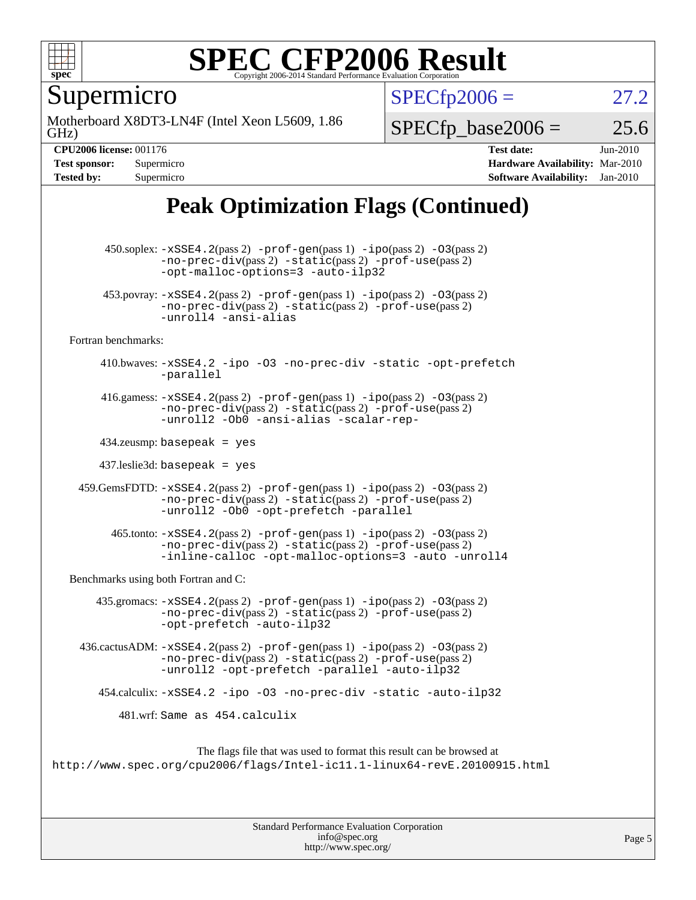

Supermicro

GHz) Motherboard X8DT3-LN4F (Intel Xeon L5609, 1.86  $SPECTp2006 = 27.2$ 

 $SPECTp\_base2006 = 25.6$ 

**[CPU2006 license:](http://www.spec.org/auto/cpu2006/Docs/result-fields.html#CPU2006license)** 001176 **[Test date:](http://www.spec.org/auto/cpu2006/Docs/result-fields.html#Testdate)** Jun-2010 **[Test sponsor:](http://www.spec.org/auto/cpu2006/Docs/result-fields.html#Testsponsor)** Supermicro **[Hardware Availability:](http://www.spec.org/auto/cpu2006/Docs/result-fields.html#HardwareAvailability)** Mar-2010 **[Tested by:](http://www.spec.org/auto/cpu2006/Docs/result-fields.html#Testedby)** Supermicro **[Software Availability:](http://www.spec.org/auto/cpu2006/Docs/result-fields.html#SoftwareAvailability)** Jan-2010

### **[Peak Optimization Flags \(Continued\)](http://www.spec.org/auto/cpu2006/Docs/result-fields.html#PeakOptimizationFlags)**

 450.soplex: [-xSSE4.2](http://www.spec.org/cpu2006/results/res2010q3/cpu2006-20100621-11966.flags.html#user_peakPASS2_CXXFLAGSPASS2_LDFLAGS450_soplex_f-xSSE42_f91528193cf0b216347adb8b939d4107)(pass 2) [-prof-gen](http://www.spec.org/cpu2006/results/res2010q3/cpu2006-20100621-11966.flags.html#user_peakPASS1_CXXFLAGSPASS1_LDFLAGS450_soplex_prof_gen_e43856698f6ca7b7e442dfd80e94a8fc)(pass 1) [-ipo](http://www.spec.org/cpu2006/results/res2010q3/cpu2006-20100621-11966.flags.html#user_peakPASS2_CXXFLAGSPASS2_LDFLAGS450_soplex_f-ipo)(pass 2) [-O3](http://www.spec.org/cpu2006/results/res2010q3/cpu2006-20100621-11966.flags.html#user_peakPASS2_CXXFLAGSPASS2_LDFLAGS450_soplex_f-O3)(pass 2) [-no-prec-div](http://www.spec.org/cpu2006/results/res2010q3/cpu2006-20100621-11966.flags.html#user_peakPASS2_CXXFLAGSPASS2_LDFLAGS450_soplex_f-no-prec-div)(pass 2) [-static](http://www.spec.org/cpu2006/results/res2010q3/cpu2006-20100621-11966.flags.html#user_peakPASS2_CXXFLAGSPASS2_LDFLAGS450_soplex_f-static)(pass 2) [-prof-use](http://www.spec.org/cpu2006/results/res2010q3/cpu2006-20100621-11966.flags.html#user_peakPASS2_CXXFLAGSPASS2_LDFLAGS450_soplex_prof_use_bccf7792157ff70d64e32fe3e1250b55)(pass 2) [-opt-malloc-options=3](http://www.spec.org/cpu2006/results/res2010q3/cpu2006-20100621-11966.flags.html#user_peakOPTIMIZE450_soplex_f-opt-malloc-options_13ab9b803cf986b4ee62f0a5998c2238) [-auto-ilp32](http://www.spec.org/cpu2006/results/res2010q3/cpu2006-20100621-11966.flags.html#user_peakCXXOPTIMIZE450_soplex_f-auto-ilp32) 453.povray:  $-xSSE4$ . 2(pass 2)  $-prof-gen(pass 1) -ipo(pass 2) -O3(pass 2)$  $-prof-gen(pass 1) -ipo(pass 2) -O3(pass 2)$  $-prof-gen(pass 1) -ipo(pass 2) -O3(pass 2)$  $-prof-gen(pass 1) -ipo(pass 2) -O3(pass 2)$  $-prof-gen(pass 1) -ipo(pass 2) -O3(pass 2)$  $-prof-gen(pass 1) -ipo(pass 2) -O3(pass 2)$ [-no-prec-div](http://www.spec.org/cpu2006/results/res2010q3/cpu2006-20100621-11966.flags.html#user_peakPASS2_CXXFLAGSPASS2_LDFLAGS453_povray_f-no-prec-div)(pass 2) [-static](http://www.spec.org/cpu2006/results/res2010q3/cpu2006-20100621-11966.flags.html#user_peakPASS2_CXXFLAGSPASS2_LDFLAGS453_povray_f-static)(pass 2) [-prof-use](http://www.spec.org/cpu2006/results/res2010q3/cpu2006-20100621-11966.flags.html#user_peakPASS2_CXXFLAGSPASS2_LDFLAGS453_povray_prof_use_bccf7792157ff70d64e32fe3e1250b55)(pass 2) [-unroll4](http://www.spec.org/cpu2006/results/res2010q3/cpu2006-20100621-11966.flags.html#user_peakCXXOPTIMIZE453_povray_f-unroll_4e5e4ed65b7fd20bdcd365bec371b81f) [-ansi-alias](http://www.spec.org/cpu2006/results/res2010q3/cpu2006-20100621-11966.flags.html#user_peakCXXOPTIMIZE453_povray_f-ansi-alias) [Fortran benchmarks](http://www.spec.org/auto/cpu2006/Docs/result-fields.html#Fortranbenchmarks): 410.bwaves: [-xSSE4.2](http://www.spec.org/cpu2006/results/res2010q3/cpu2006-20100621-11966.flags.html#user_peakOPTIMIZE410_bwaves_f-xSSE42_f91528193cf0b216347adb8b939d4107) [-ipo](http://www.spec.org/cpu2006/results/res2010q3/cpu2006-20100621-11966.flags.html#user_peakOPTIMIZE410_bwaves_f-ipo) [-O3](http://www.spec.org/cpu2006/results/res2010q3/cpu2006-20100621-11966.flags.html#user_peakOPTIMIZE410_bwaves_f-O3) [-no-prec-div](http://www.spec.org/cpu2006/results/res2010q3/cpu2006-20100621-11966.flags.html#user_peakOPTIMIZE410_bwaves_f-no-prec-div) [-static](http://www.spec.org/cpu2006/results/res2010q3/cpu2006-20100621-11966.flags.html#user_peakOPTIMIZE410_bwaves_f-static) [-opt-prefetch](http://www.spec.org/cpu2006/results/res2010q3/cpu2006-20100621-11966.flags.html#user_peakOPTIMIZE410_bwaves_f-opt-prefetch) [-parallel](http://www.spec.org/cpu2006/results/res2010q3/cpu2006-20100621-11966.flags.html#user_peakOPTIMIZE410_bwaves_f-parallel) 416.gamess:  $-xSSE4$ . 2(pass 2)  $-prof-gen(pass 1) -ipo(pass 2) -O3(pass 2)$  $-prof-gen(pass 1) -ipo(pass 2) -O3(pass 2)$  $-prof-gen(pass 1) -ipo(pass 2) -O3(pass 2)$  $-prof-gen(pass 1) -ipo(pass 2) -O3(pass 2)$  $-prof-gen(pass 1) -ipo(pass 2) -O3(pass 2)$  $-prof-gen(pass 1) -ipo(pass 2) -O3(pass 2)$ [-no-prec-div](http://www.spec.org/cpu2006/results/res2010q3/cpu2006-20100621-11966.flags.html#user_peakPASS2_FFLAGSPASS2_LDFLAGS416_gamess_f-no-prec-div)(pass 2) [-static](http://www.spec.org/cpu2006/results/res2010q3/cpu2006-20100621-11966.flags.html#user_peakPASS2_FFLAGSPASS2_LDFLAGS416_gamess_f-static)(pass 2) [-prof-use](http://www.spec.org/cpu2006/results/res2010q3/cpu2006-20100621-11966.flags.html#user_peakPASS2_FFLAGSPASS2_LDFLAGS416_gamess_prof_use_bccf7792157ff70d64e32fe3e1250b55)(pass 2) [-unroll2](http://www.spec.org/cpu2006/results/res2010q3/cpu2006-20100621-11966.flags.html#user_peakOPTIMIZE416_gamess_f-unroll_784dae83bebfb236979b41d2422d7ec2) [-Ob0](http://www.spec.org/cpu2006/results/res2010q3/cpu2006-20100621-11966.flags.html#user_peakOPTIMIZE416_gamess_f-Ob_n_fbe6f6428adb7d4b74b1e99bb2444c2d) [-ansi-alias](http://www.spec.org/cpu2006/results/res2010q3/cpu2006-20100621-11966.flags.html#user_peakOPTIMIZE416_gamess_f-ansi-alias) [-scalar-rep-](http://www.spec.org/cpu2006/results/res2010q3/cpu2006-20100621-11966.flags.html#user_peakOPTIMIZE416_gamess_f-disablescalarrep_abbcad04450fb118e4809c81d83c8a1d) 434.zeusmp: basepeak = yes 437.leslie3d: basepeak = yes 459.GemsFDTD: [-xSSE4.2](http://www.spec.org/cpu2006/results/res2010q3/cpu2006-20100621-11966.flags.html#user_peakPASS2_FFLAGSPASS2_LDFLAGS459_GemsFDTD_f-xSSE42_f91528193cf0b216347adb8b939d4107)(pass 2) [-prof-gen](http://www.spec.org/cpu2006/results/res2010q3/cpu2006-20100621-11966.flags.html#user_peakPASS1_FFLAGSPASS1_LDFLAGS459_GemsFDTD_prof_gen_e43856698f6ca7b7e442dfd80e94a8fc)(pass 1) [-ipo](http://www.spec.org/cpu2006/results/res2010q3/cpu2006-20100621-11966.flags.html#user_peakPASS2_FFLAGSPASS2_LDFLAGS459_GemsFDTD_f-ipo)(pass 2) [-O3](http://www.spec.org/cpu2006/results/res2010q3/cpu2006-20100621-11966.flags.html#user_peakPASS2_FFLAGSPASS2_LDFLAGS459_GemsFDTD_f-O3)(pass 2) [-no-prec-div](http://www.spec.org/cpu2006/results/res2010q3/cpu2006-20100621-11966.flags.html#user_peakPASS2_FFLAGSPASS2_LDFLAGS459_GemsFDTD_f-no-prec-div)(pass 2) [-static](http://www.spec.org/cpu2006/results/res2010q3/cpu2006-20100621-11966.flags.html#user_peakPASS2_FFLAGSPASS2_LDFLAGS459_GemsFDTD_f-static)(pass 2) [-prof-use](http://www.spec.org/cpu2006/results/res2010q3/cpu2006-20100621-11966.flags.html#user_peakPASS2_FFLAGSPASS2_LDFLAGS459_GemsFDTD_prof_use_bccf7792157ff70d64e32fe3e1250b55)(pass 2) [-unroll2](http://www.spec.org/cpu2006/results/res2010q3/cpu2006-20100621-11966.flags.html#user_peakOPTIMIZE459_GemsFDTD_f-unroll_784dae83bebfb236979b41d2422d7ec2) [-Ob0](http://www.spec.org/cpu2006/results/res2010q3/cpu2006-20100621-11966.flags.html#user_peakOPTIMIZE459_GemsFDTD_f-Ob_n_fbe6f6428adb7d4b74b1e99bb2444c2d) [-opt-prefetch](http://www.spec.org/cpu2006/results/res2010q3/cpu2006-20100621-11966.flags.html#user_peakOPTIMIZE459_GemsFDTD_f-opt-prefetch) [-parallel](http://www.spec.org/cpu2006/results/res2010q3/cpu2006-20100621-11966.flags.html#user_peakOPTIMIZE459_GemsFDTD_f-parallel)  $465$ .tonto:  $-xSSE4$ .  $2(pass 2)$  [-prof-gen](http://www.spec.org/cpu2006/results/res2010q3/cpu2006-20100621-11966.flags.html#user_peakPASS1_FFLAGSPASS1_LDFLAGS465_tonto_prof_gen_e43856698f6ca7b7e442dfd80e94a8fc)(pass 1) [-ipo](http://www.spec.org/cpu2006/results/res2010q3/cpu2006-20100621-11966.flags.html#user_peakPASS2_FFLAGSPASS2_LDFLAGS465_tonto_f-ipo)(pass 2) -03(pass 2) [-no-prec-div](http://www.spec.org/cpu2006/results/res2010q3/cpu2006-20100621-11966.flags.html#user_peakPASS2_FFLAGSPASS2_LDFLAGS465_tonto_f-no-prec-div)(pass 2) [-static](http://www.spec.org/cpu2006/results/res2010q3/cpu2006-20100621-11966.flags.html#user_peakPASS2_FFLAGSPASS2_LDFLAGS465_tonto_f-static)(pass 2) [-prof-use](http://www.spec.org/cpu2006/results/res2010q3/cpu2006-20100621-11966.flags.html#user_peakPASS2_FFLAGSPASS2_LDFLAGS465_tonto_prof_use_bccf7792157ff70d64e32fe3e1250b55)(pass 2) [-inline-calloc](http://www.spec.org/cpu2006/results/res2010q3/cpu2006-20100621-11966.flags.html#user_peakOPTIMIZE465_tonto_f-inline-calloc) [-opt-malloc-options=3](http://www.spec.org/cpu2006/results/res2010q3/cpu2006-20100621-11966.flags.html#user_peakOPTIMIZE465_tonto_f-opt-malloc-options_13ab9b803cf986b4ee62f0a5998c2238) [-auto](http://www.spec.org/cpu2006/results/res2010q3/cpu2006-20100621-11966.flags.html#user_peakOPTIMIZE465_tonto_f-auto) [-unroll4](http://www.spec.org/cpu2006/results/res2010q3/cpu2006-20100621-11966.flags.html#user_peakOPTIMIZE465_tonto_f-unroll_4e5e4ed65b7fd20bdcd365bec371b81f) [Benchmarks using both Fortran and C](http://www.spec.org/auto/cpu2006/Docs/result-fields.html#BenchmarksusingbothFortranandC): 435.gromacs:  $-xSSE4$ . 2(pass 2)  $-prof-gen(pass 1) -ipo(pass 2) -O3(pass 2)$  $-prof-gen(pass 1) -ipo(pass 2) -O3(pass 2)$  $-prof-gen(pass 1) -ipo(pass 2) -O3(pass 2)$  $-prof-gen(pass 1) -ipo(pass 2) -O3(pass 2)$  $-prof-gen(pass 1) -ipo(pass 2) -O3(pass 2)$  $-prof-gen(pass 1) -ipo(pass 2) -O3(pass 2)$ [-no-prec-div](http://www.spec.org/cpu2006/results/res2010q3/cpu2006-20100621-11966.flags.html#user_peakPASS2_CFLAGSPASS2_FFLAGSPASS2_LDFLAGS435_gromacs_f-no-prec-div)(pass 2) [-static](http://www.spec.org/cpu2006/results/res2010q3/cpu2006-20100621-11966.flags.html#user_peakPASS2_CFLAGSPASS2_FFLAGSPASS2_LDFLAGS435_gromacs_f-static)(pass 2) [-prof-use](http://www.spec.org/cpu2006/results/res2010q3/cpu2006-20100621-11966.flags.html#user_peakPASS2_CFLAGSPASS2_FFLAGSPASS2_LDFLAGS435_gromacs_prof_use_bccf7792157ff70d64e32fe3e1250b55)(pass 2) [-opt-prefetch](http://www.spec.org/cpu2006/results/res2010q3/cpu2006-20100621-11966.flags.html#user_peakOPTIMIZE435_gromacs_f-opt-prefetch) [-auto-ilp32](http://www.spec.org/cpu2006/results/res2010q3/cpu2006-20100621-11966.flags.html#user_peakCOPTIMIZE435_gromacs_f-auto-ilp32) 436.cactusADM: [-xSSE4.2](http://www.spec.org/cpu2006/results/res2010q3/cpu2006-20100621-11966.flags.html#user_peakPASS2_CFLAGSPASS2_FFLAGSPASS2_LDFLAGS436_cactusADM_f-xSSE42_f91528193cf0b216347adb8b939d4107)(pass 2) [-prof-gen](http://www.spec.org/cpu2006/results/res2010q3/cpu2006-20100621-11966.flags.html#user_peakPASS1_CFLAGSPASS1_FFLAGSPASS1_LDFLAGS436_cactusADM_prof_gen_e43856698f6ca7b7e442dfd80e94a8fc)(pass 1) [-ipo](http://www.spec.org/cpu2006/results/res2010q3/cpu2006-20100621-11966.flags.html#user_peakPASS2_CFLAGSPASS2_FFLAGSPASS2_LDFLAGS436_cactusADM_f-ipo)(pass 2) [-O3](http://www.spec.org/cpu2006/results/res2010q3/cpu2006-20100621-11966.flags.html#user_peakPASS2_CFLAGSPASS2_FFLAGSPASS2_LDFLAGS436_cactusADM_f-O3)(pass 2) [-no-prec-div](http://www.spec.org/cpu2006/results/res2010q3/cpu2006-20100621-11966.flags.html#user_peakPASS2_CFLAGSPASS2_FFLAGSPASS2_LDFLAGS436_cactusADM_f-no-prec-div)(pass 2) [-static](http://www.spec.org/cpu2006/results/res2010q3/cpu2006-20100621-11966.flags.html#user_peakPASS2_CFLAGSPASS2_FFLAGSPASS2_LDFLAGS436_cactusADM_f-static)(pass 2) [-prof-use](http://www.spec.org/cpu2006/results/res2010q3/cpu2006-20100621-11966.flags.html#user_peakPASS2_CFLAGSPASS2_FFLAGSPASS2_LDFLAGS436_cactusADM_prof_use_bccf7792157ff70d64e32fe3e1250b55)(pass 2) [-unroll2](http://www.spec.org/cpu2006/results/res2010q3/cpu2006-20100621-11966.flags.html#user_peakOPTIMIZE436_cactusADM_f-unroll_784dae83bebfb236979b41d2422d7ec2) [-opt-prefetch](http://www.spec.org/cpu2006/results/res2010q3/cpu2006-20100621-11966.flags.html#user_peakOPTIMIZE436_cactusADM_f-opt-prefetch) [-parallel](http://www.spec.org/cpu2006/results/res2010q3/cpu2006-20100621-11966.flags.html#user_peakOPTIMIZE436_cactusADM_f-parallel) [-auto-ilp32](http://www.spec.org/cpu2006/results/res2010q3/cpu2006-20100621-11966.flags.html#user_peakCOPTIMIZE436_cactusADM_f-auto-ilp32) 454.calculix: [-xSSE4.2](http://www.spec.org/cpu2006/results/res2010q3/cpu2006-20100621-11966.flags.html#user_peakOPTIMIZE454_calculix_f-xSSE42_f91528193cf0b216347adb8b939d4107) [-ipo](http://www.spec.org/cpu2006/results/res2010q3/cpu2006-20100621-11966.flags.html#user_peakOPTIMIZE454_calculix_f-ipo) [-O3](http://www.spec.org/cpu2006/results/res2010q3/cpu2006-20100621-11966.flags.html#user_peakOPTIMIZE454_calculix_f-O3) [-no-prec-div](http://www.spec.org/cpu2006/results/res2010q3/cpu2006-20100621-11966.flags.html#user_peakOPTIMIZE454_calculix_f-no-prec-div) [-static](http://www.spec.org/cpu2006/results/res2010q3/cpu2006-20100621-11966.flags.html#user_peakOPTIMIZE454_calculix_f-static) [-auto-ilp32](http://www.spec.org/cpu2006/results/res2010q3/cpu2006-20100621-11966.flags.html#user_peakCOPTIMIZE454_calculix_f-auto-ilp32) 481.wrf: Same as 454.calculix The flags file that was used to format this result can be browsed at <http://www.spec.org/cpu2006/flags/Intel-ic11.1-linux64-revE.20100915.html>